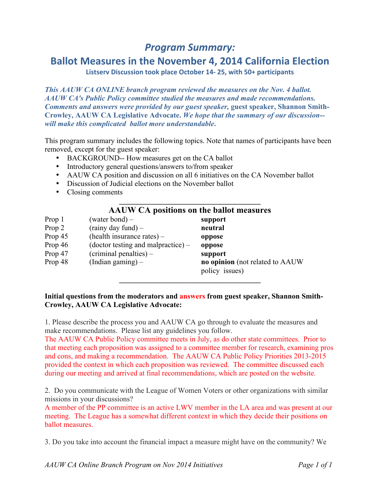# *Program Summary:*

# **Ballot Measures in the November 4, 2014 California Election**

Listserv Discussion took place October 14- 25, with 50+ participants

*This AAUW CA ONLINE branch program reviewed the measures on the Nov. 4 ballot. AAUW CA's Public Policy committee studied the measures and made recommendations. Comments and answers were provided by our guest speaker,* **guest speaker, Shannon Smith-Crowley, AAUW CA Legislative Advocate.** *We hope that the summary of our discussion- will make this complicated ballot more understandable***.**

This program summary includes the following topics. Note that names of participants have been removed, except for the guest speaker:

- BACKGROUND-- How measures get on the CA ballot
- Introductory general questions/answers to/from speaker
- AAUW CA position and discussion on all 6 initiatives on the CA November ballot
- Discussion of Judicial elections on the November ballot
- Closing comments

| $A\Delta U$ if $A$ positions on the bandemicasures |                                        |                                                   |  |  |  |  |  |
|----------------------------------------------------|----------------------------------------|---------------------------------------------------|--|--|--|--|--|
| Prop 1                                             | (water bond) –                         | support                                           |  |  |  |  |  |
| Prop 2                                             | (rainy day fund) –                     | neutral                                           |  |  |  |  |  |
| Prop 45                                            | $(health\ insurance\ rates) -$         | oppose                                            |  |  |  |  |  |
| Prop 46                                            | $(dofotor)$ testing and malpractice) – | oppose                                            |  |  |  |  |  |
| Prop 47                                            | $(criminal$ penalties) –               | support                                           |  |  |  |  |  |
| Prop 48                                            | $(Indian\,,  ) -$                      | no opinion (not related to AAUW<br>policy issues) |  |  |  |  |  |
|                                                    |                                        |                                                   |  |  |  |  |  |

## **\_\_\_\_\_\_\_\_\_\_\_\_\_\_\_\_\_\_\_\_\_\_\_\_\_\_\_\_\_\_\_\_\_\_\_\_\_\_ AAUW CA positions on the ballot measures**

#### **Initial questions from the moderators and answers from guest speaker, Shannon Smith-Crowley, AAUW CA Legislative Advocate:**

1. Please describe the process you and AAUW CA go through to evaluate the measures and make recommendations. Please list any guidelines you follow.

The AAUW CA Public Policy committee meets in July, as do other state committees. Prior to that meeting each proposition was assigned to a committee member for research, examining pros and cons, and making a recommendation. The AAUW CA Public Policy Priorities 2013-2015 provided the context in which each proposition was reviewed. The committee discussed each during our meeting and arrived at final recommendations, which are posted on the website.

2. Do you communicate with the League of Women Voters or other organizations with similar missions in your discussions?

A member of the PP committee is an active LWV member in the LA area and was present at our meeting. The League has a somewhat different context in which they decide their positions on ballot measures.

3. Do you take into account the financial impact a measure might have on the community? We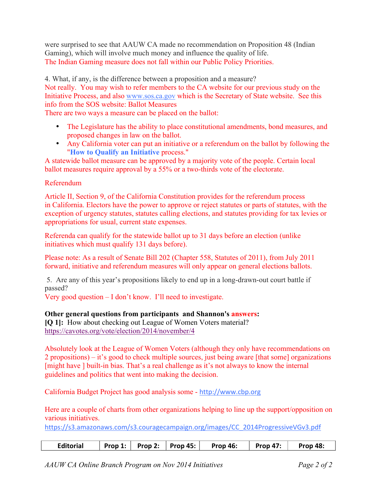were surprised to see that AAUW CA made no recommendation on Proposition 48 (Indian Gaming), which will involve much money and influence the quality of life. The Indian Gaming measure does not fall within our Public Policy Priorities.

4. What, if any, is the difference between a proposition and a measure?

Not really. You may wish to refer members to the CA website for our previous study on the Initiative Process, and also www.sos.ca.gov which is the Secretary of State website. See this info from the SOS website: Ballot Measures

There are two ways a measure can be placed on the ballot:

- The Legislature has the ability to place constitutional amendments, bond measures, and proposed changes in law on the ballot.
- Any California voter can put an initiative or a referendum on the ballot by following the "**How to Qualify an Initiative** process."

A statewide ballot measure can be approved by a majority vote of the people. Certain local ballot measures require approval by a 55% or a two-thirds vote of the electorate.

#### Referendum

Article II, Section 9, of the California Constitution provides for the referendum process in California. Electors have the power to approve or reject statutes or parts of statutes, with the exception of urgency statutes, statutes calling elections, and statutes providing for tax levies or appropriations for usual, current state expenses.

Referenda can qualify for the statewide ballot up to 31 days before an election (unlike initiatives which must qualify 131 days before).

Please note: As a result of Senate Bill 202 (Chapter 558, Statutes of 2011), from July 2011 forward, initiative and referendum measures will only appear on general elections ballots.

5. Are any of this year's propositions likely to end up in a long-drawn-out court battle if passed?

Very good question – I don't know. I'll need to investigate.

#### **Other general questions from participants and Shannon's answers:**

**[Q 1]:** How about checking out League of Women Voters material? https://cavotes.org/vote/election/2014/november/4

Absolutely look at the League of Women Voters (although they only have recommendations on 2 propositions) – it's good to check multiple sources, just being aware [that some] organizations [might have ] built-in bias. That's a real challenge as it's not always to know the internal guidelines and politics that went into making the decision.

California Budget Project has good analysis some - http://www.cbp.org

Here are a couple of charts from other organizations helping to line up the support/opposition on various initiatives.

https://s3.amazonaws.com/s3.couragecampaign.org/images/CC\_2014ProgressiveVGv3.pdf

| Prop<br>Prop<br>45:<br>47 <sup>°</sup><br><b>Dron</b><br><b>Dron</b><br>48:<br>46:<br>Pron |
|--------------------------------------------------------------------------------------------|
|--------------------------------------------------------------------------------------------|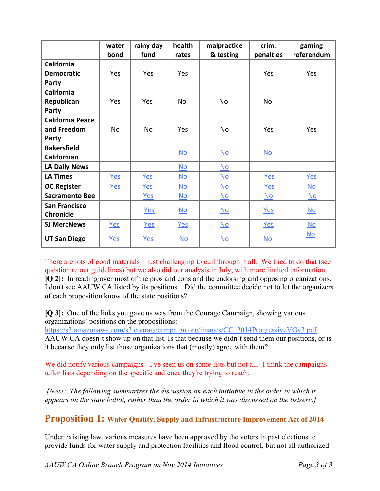|                         | water<br>bond | rainy day<br>fund | health<br>rates           | malpractice<br>& testing  | crim.<br>penalties        | gaming<br>referendum      |
|-------------------------|---------------|-------------------|---------------------------|---------------------------|---------------------------|---------------------------|
| <b>California</b>       |               |                   |                           |                           |                           |                           |
| <b>Democratic</b>       | Yes           | Yes               | Yes                       |                           | Yes                       | Yes                       |
| Party                   |               |                   |                           |                           |                           |                           |
| California              |               |                   |                           |                           |                           |                           |
| Republican              | Yes           | Yes               | No                        | <b>No</b>                 | <b>No</b>                 |                           |
| Party                   |               |                   |                           |                           |                           |                           |
| <b>California Peace</b> |               |                   |                           |                           |                           |                           |
| and Freedom             | No            | No                | Yes                       | No                        | Yes                       | Yes                       |
| Party                   |               |                   |                           |                           |                           |                           |
| <b>Bakersfield</b>      |               |                   | <b>No</b>                 | <b>No</b>                 | $\underline{\mathsf{No}}$ |                           |
| <b>Californian</b>      |               |                   |                           |                           |                           |                           |
| <b>LA Daily News</b>    |               |                   | <b>No</b>                 | <b>No</b>                 |                           |                           |
| <b>LA Times</b>         | Yes           | Yes               | <b>No</b>                 | <b>No</b>                 | Yes                       | Yes                       |
| <b>OC Register</b>      | Yes           | Yes               | <b>No</b>                 | <b>No</b>                 | Yes                       | <b>No</b>                 |
| <b>Sacramento Bee</b>   |               | Yes               | <b>No</b>                 | <b>No</b>                 | <b>No</b>                 | <b>No</b>                 |
| <b>San Francisco</b>    |               |                   |                           |                           |                           |                           |
| <b>Chronicle</b>        |               | Yes               | No                        | $No$                      | <u>Yes</u>                | $\underline{\mathsf{No}}$ |
| <b>SJ MercNews</b>      | Yes           | Yes               | Yes                       | No                        | Yes                       | <b>No</b>                 |
| <b>UT San Diego</b>     | <u>Yes</u>    | <u>Yes</u>        | $\underline{\mathsf{No}}$ | $\underline{\mathsf{No}}$ | $\underline{\mathsf{No}}$ | $\underline{\mathsf{No}}$ |

There are lots of good materials – just challenging to cull through it all. We tried to do that (see question re our guidelines) but we also did our analysis in July, with more limited information.

**[Q 2]:** In reading over most of the pros and cons and the endorsing and opposing organizations, I don't see AAUW CA listed by its positions. Did the committee decide not to let the organizers of each proposition know of the state positions?

**[Q 3]:** One of the links you gave us was from the Courage Campaign, showing various organizations' positions on the propositions:

https://s3.amazonaws.com/s3.couragecampaign.org/images/CC\_2014ProgressiveVGv3.pdf AAUW CA doesn't show up on that list. Is that because we didn't send them our positions, or is

it because they only list those organizations that (mostly) agree with them?

We did notify various campaigns - I've seen us on some lists but not all. I think the campaigns tailor lists depending on the specific audience they're trying to reach.

*[Note: The following summarizes the discussion on each initiative in the order in which it appears on the state ballot, rather than the order in which it was discussed on the listserv.]*

**Proposition 1: Water Quality, Supply and Infrastructure Improvement Act of 2014** 

Under existing law, various measures have been approved by the voters in past elections to provide funds for water supply and protection facilities and flood control, but not all authorized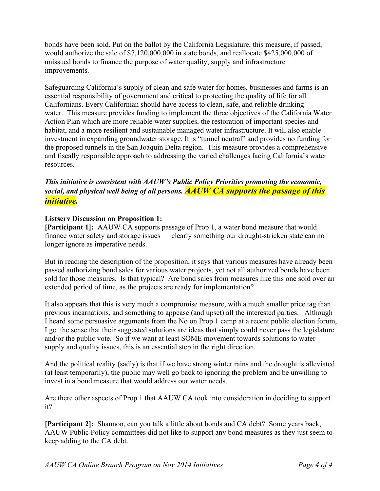bonds have been sold. Put on the ballot by the California Legislature, this measure, if passed, would authorize the sale of \$7,120,000,000 in state bonds, and reallocate \$425,000,000 of unissued bonds to finance the purpose of water quality, supply and infrastructure improvements.

Safeguarding California's supply of clean and safe water for homes, businesses and farms is an essential responsibility of government and critical to protecting the quality of life for all Californians. Every Californian should have access to clean, safe, and reliable drinking water. This measure provides funding to implement the three objectives of the California Water Action Plan which are more reliable water supplies, the restoration of important species and habitat, and a more resilient and sustainable managed water infrastructure. It will also enable investment in expanding groundwater storage. It is "tunnel neutral" and provides no funding for the proposed tunnels in the San Joaquin Delta region. This measure provides a comprehensive and fiscally responsible approach to addressing the varied challenges facing California's water resources.

## *This initiative is consistent with AAUW's Public Policy Priorities promoting the economic, social, and physical well being of all persons. AAUW CA supports the passage of this initiative.*

## **Listserv Discussion on Proposition 1:**

**[Participant 1]:** AAUW CA supports passage of Prop 1, a water bond measure that would finance water safety and storage issues — clearly something our drought-stricken state can no longer ignore as imperative needs.

But in reading the description of the proposition, it says that various measures have already been passed authorizing bond sales for various water projects, yet not all authorized bonds have been sold for those measures. Is that typical? Are bond sales from measures like this one sold over an extended period of time, as the projects are ready for implementation?

It also appears that this is very much a compromise measure, with a much smaller price tag than previous incarnations, and something to appease (and upset) all the interested parties. Although I heard some persuasive arguments from the No on Prop 1 camp at a recent public election forum, I get the sense that their suggested solutions are ideas that simply could never pass the legislature and/or the public vote. So if we want at least SOME movement towards solutions to water supply and quality issues, this is an essential step in the right direction.

And the political reality (sadly) is that if we have strong winter rains and the drought is alleviated (at least temporarily), the public may well go back to ignoring the problem and be unwilling to invest in a bond measure that would address our water needs.

Are there other aspects of Prop 1 that AAUW CA took into consideration in deciding to support it?

**[Participant 2]:** Shannon, can you talk a little about bonds and CA debt? Some years back, AAUW Public Policy committees did not like to support any bond measures as they just seem to keep adding to the CA debt.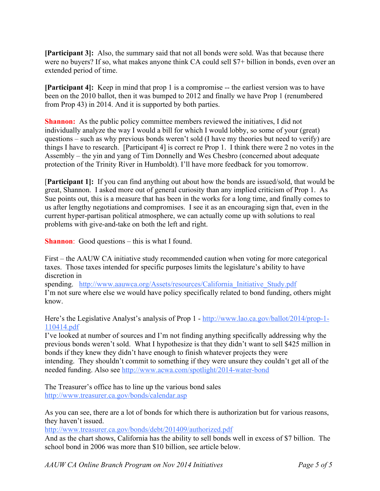**[Participant 3]:** Also, the summary said that not all bonds were sold. Was that because there were no buyers? If so, what makes anyone think CA could sell \$7+ billion in bonds, even over an extended period of time.

**[Participant 4]:** Keep in mind that prop 1 is a compromise -- the earliest version was to have been on the 2010 ballot, then it was bumped to 2012 and finally we have Prop 1 (renumbered from Prop 43) in 2014. And it is supported by both parties.

**Shannon:** As the public policy committee members reviewed the initiatives, I did not individually analyze the way I would a bill for which I would lobby, so some of your (great) questions – such as why previous bonds weren't sold (I have my theories but need to verify) are things I have to research. [Participant 4] is correct re Prop 1. I think there were 2 no votes in the Assembly – the yin and yang of Tim Donnelly and Wes Chesbro (concerned about adequate protection of the Trinity River in Humboldt). I'll have more feedback for you tomorrow.

[**Participant 1]:** If you can find anything out about how the bonds are issued/sold, that would be great, Shannon. I asked more out of general curiosity than any implied criticism of Prop 1. As Sue points out, this is a measure that has been in the works for a long time, and finally comes to us after lengthy negotiations and compromises. I see it as an encouraging sign that, even in the current hyper-partisan political atmosphere, we can actually come up with solutions to real problems with give-and-take on both the left and right.

**Shannon**: Good questions – this is what I found.

First – the AAUW CA initiative study recommended caution when voting for more categorical taxes. Those taxes intended for specific purposes limits the legislature's ability to have discretion in

spending. http://www.aauwca.org/Assets/resources/California Initiative Study.pdf I'm not sure where else we would have policy specifically related to bond funding, others might know.

Here's the Legislative Analyst's analysis of Prop 1 - http://www.lao.ca.gov/ballot/2014/prop-1-110414.pdf

I've looked at number of sources and I'm not finding anything specifically addressing why the previous bonds weren't sold. What I hypothesize is that they didn't want to sell \$425 million in bonds if they knew they didn't have enough to finish whatever projects they were intending. They shouldn't commit to something if they were unsure they couldn't get all of the needed funding. Also see http://www.acwa.com/spotlight/2014-water-bond

The Treasurer's office has to line up the various bond sales http://www.treasurer.ca.gov/bonds/calendar.asp

As you can see, there are a lot of bonds for which there is authorization but for various reasons, they haven't issued.

http://www.treasurer.ca.gov/bonds/debt/201409/authorized.pdf

And as the chart shows, California has the ability to sell bonds well in excess of \$7 billion. The school bond in 2006 was more than \$10 billion, see article below.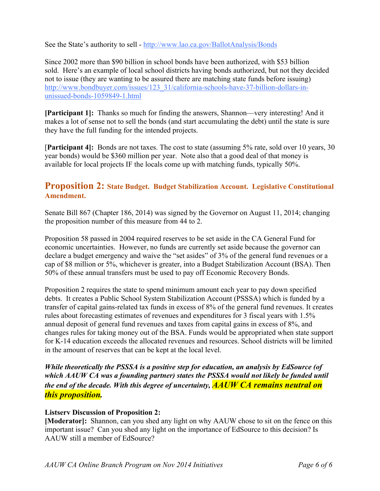See the State's authority to sell - http://www.lao.ca.gov/BallotAnalysis/Bonds

Since 2002 more than \$90 billion in school bonds have been authorized, with \$53 billion sold. Here's an example of local school districts having bonds authorized, but not they decided not to issue (they are wanting to be assured there are matching state funds before issuing) http://www.bondbuyer.com/issues/123\_31/california-schools-have-37-billion-dollars-inunissued-bonds-1059849-1.html

**[Participant 1]:** Thanks so much for finding the answers, Shannon—very interesting! And it makes a lot of sense not to sell the bonds (and start accumulating the debt) until the state is sure they have the full funding for the intended projects.

[**Participant 4]:** Bonds are not taxes. The cost to state (assuming 5% rate, sold over 10 years, 30 year bonds) would be \$360 million per year. Note also that a good deal of that money is available for local projects IF the locals come up with matching funds, typically 50%.

## **Proposition 2: State Budget. Budget Stabilization Account. Legislative Constitutional Amendment.**

Senate Bill 867 (Chapter 186, 2014) was signed by the Governor on August 11, 2014; changing the proposition number of this measure from 44 to 2.

Proposition 58 passed in 2004 required reserves to be set aside in the CA General Fund for economic uncertainties. However, no funds are currently set aside because the governor can declare a budget emergency and waive the "set asides" of 3% of the general fund revenues or a cap of \$8 million or 5%, whichever is greater, into a Budget Stabilization Account (BSA). Then 50% of these annual transfers must be used to pay off Economic Recovery Bonds.

Proposition 2 requires the state to spend minimum amount each year to pay down specified debts. It creates a Public School System Stabilization Account (PSSSA) which is funded by a transfer of capital gains-related tax funds in excess of 8% of the general fund revenues. It creates rules about forecasting estimates of revenues and expenditures for 3 fiscal years with 1.5% annual deposit of general fund revenues and taxes from capital gains in excess of 8%, and changes rules for taking money out of the BSA. Funds would be appropriated when state support for K-14 education exceeds the allocated revenues and resources. School districts will be limited in the amount of reserves that can be kept at the local level.

*While theoretically the PSSSA is a positive step for education, an analysis by EdSource (of which AAUW CA was a founding partner) states the PSSSA would not likely be funded until the end of the decade. With this degree of uncertainty, AAUW CA remains neutral on this proposition.*

### **Listserv Discussion of Proposition 2:**

**[Moderator]:** Shannon, can you shed any light on why AAUW chose to sit on the fence on this important issue? Can you shed any light on the importance of EdSource to this decision? Is AAUW still a member of EdSource?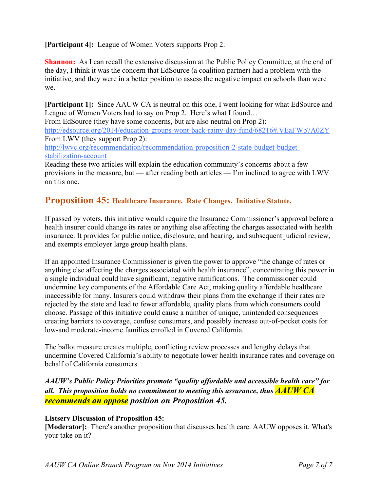**[Participant 4]:** League of Women Voters supports Prop 2.

**Shannon:** As I can recall the extensive discussion at the Public Policy Committee, at the end of the day, I think it was the concern that EdSource (a coalition partner) had a problem with the initiative, and they were in a better position to assess the negative impact on schools than were we.

**[Participant 1]:** Since AAUW CA is neutral on this one, I went looking for what EdSource and League of Women Voters had to say on Prop 2. Here's what I found…

From EdSource (they have some concerns, but are also neutral on Prop 2): http://edsource.org/2014/education-groups-wont-back-rainy-day-fund/68216#.VEaFWb7A0ZY From LWV (they support Prop 2):

http://lwvc.org/recommendation/recommendation-proposition-2-state-budget-budgetstabilization-account

Reading these two articles will explain the education community's concerns about a few provisions in the measure, but — after reading both articles — I'm inclined to agree with LWV on this one.

## **Proposition 45: Healthcare Insurance. Rate Changes. Initiative Statute.**

If passed by voters, this initiative would require the Insurance Commissioner's approval before a health insurer could change its rates or anything else affecting the charges associated with health insurance. It provides for public notice, disclosure, and hearing, and subsequent judicial review, and exempts employer large group health plans.

If an appointed Insurance Commissioner is given the power to approve "the change of rates or anything else affecting the charges associated with health insurance", concentrating this power in a single individual could have significant, negative ramifications. The commissioner could undermine key components of the Affordable Care Act, making quality affordable healthcare inaccessible for many. Insurers could withdraw their plans from the exchange if their rates are rejected by the state and lead to fewer affordable, quality plans from which consumers could choose. Passage of this initiative could cause a number of unique, unintended consequences creating barriers to coverage, confuse consumers, and possibly increase out-of-pocket costs for low-and moderate-income families enrolled in Covered California.

The ballot measure creates multiple, conflicting review processes and lengthy delays that undermine Covered California's ability to negotiate lower health insurance rates and coverage on behalf of California consumers.

*AAUW's Public Policy Priorities promote "quality affordable and accessible health care" for all. This proposition holds no commitment to meeting this assurance, thus AAUW CA recommends an oppose position on Proposition 45.*

### **Listserv Discussion of Proposition 45:**

**[Moderator]:** There's another proposition that discusses health care. AAUW opposes it. What's your take on it?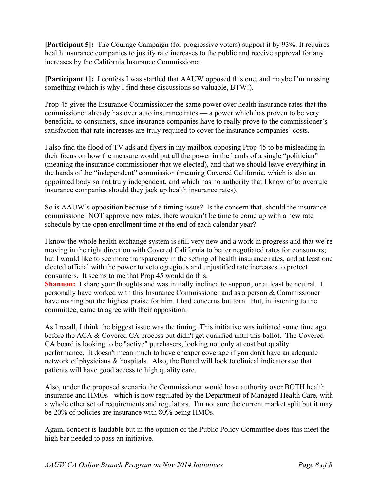**[Participant 5]:** The Courage Campaign (for progressive voters) support it by 93%. It requires health insurance companies to justify rate increases to the public and receive approval for any increases by the California Insurance Commissioner.

**[Participant 1]:** I confess I was startled that AAUW opposed this one, and maybe I'm missing something (which is why I find these discussions so valuable, BTW!).

Prop 45 gives the Insurance Commissioner the same power over health insurance rates that the commissioner already has over auto insurance rates — a power which has proven to be very beneficial to consumers, since insurance companies have to really prove to the commissioner's satisfaction that rate increases are truly required to cover the insurance companies' costs.

I also find the flood of TV ads and flyers in my mailbox opposing Prop 45 to be misleading in their focus on how the measure would put all the power in the hands of a single "politician" (meaning the insurance commissioner that we elected), and that we should leave everything in the hands of the "independent" commission (meaning Covered California, which is also an appointed body so not truly independent, and which has no authority that I know of to overrule insurance companies should they jack up health insurance rates).

So is AAUW's opposition because of a timing issue? Is the concern that, should the insurance commissioner NOT approve new rates, there wouldn't be time to come up with a new rate schedule by the open enrollment time at the end of each calendar year?

I know the whole health exchange system is still very new and a work in progress and that we're moving in the right direction with Covered California to better negotiated rates for consumers; but I would like to see more transparency in the setting of health insurance rates, and at least one elected official with the power to veto egregious and unjustified rate increases to protect consumers. It seems to me that Prop 45 would do this.

**Shannon:** I share your thoughts and was initially inclined to support, or at least be neutral. I personally have worked with this Insurance Commissioner and as a person & Commissioner have nothing but the highest praise for him. I had concerns but torn. But, in listening to the committee, came to agree with their opposition.

As I recall, I think the biggest issue was the timing. This initiative was initiated some time ago before the ACA & Covered CA process but didn't get qualified until this ballot. The Covered CA board is looking to be "active" purchasers, looking not only at cost but quality performance. It doesn't mean much to have cheaper coverage if you don't have an adequate network of physicians & hospitals. Also, the Board will look to clinical indicators so that patients will have good access to high quality care.

Also, under the proposed scenario the Commissioner would have authority over BOTH health insurance and HMOs - which is now regulated by the Department of Managed Health Care, with a whole other set of requirements and regulators. I'm not sure the current market split but it may be 20% of policies are insurance with 80% being HMOs.

Again, concept is laudable but in the opinion of the Public Policy Committee does this meet the high bar needed to pass an initiative.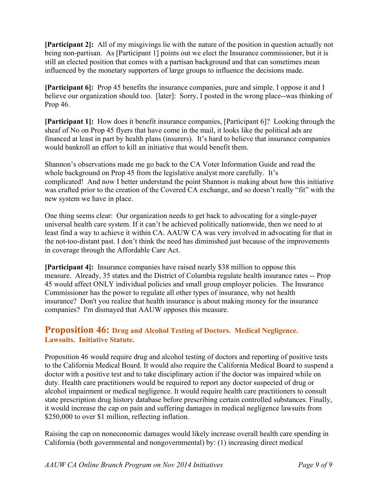**[Participant 2]:** All of my misgivings lie with the nature of the position in question actually not being non-partisan. As [Participant 1] points out we elect the Insurance commissioner, but it is still an elected position that comes with a partisan background and that can sometimes mean influenced by the monetary supporters of large groups to influence the decisions made.

**[Participant 6]:** Prop 45 benefits the insurance companies, pure and simple. I oppose it and I believe our organization should too. [later]: Sorry, I posted in the wrong place--was thinking of Prop 46.

**[Participant 1]:** How does it benefit insurance companies, [Participant 6]? Looking through the sheaf of No on Prop 45 flyers that have come in the mail, it looks like the political ads are financed at least in part by health plans (insurers). It's hard to believe that insurance companies would bankroll an effort to kill an initiative that would benefit them.

Shannon's observations made me go back to the CA Voter Information Guide and read the whole background on Prop 45 from the legislative analyst more carefully. It's complicated! And now I better understand the point Shannon is making about how this initiative was crafted prior to the creation of the Covered CA exchange, and so doesn't really "fit" with the new system we have in place.

One thing seems clear: Our organization needs to get back to advocating for a single-payer universal health care system. If it can't be achieved politically nationwide, then we need to at least find a way to achieve it within CA. AAUW CA was very involved in advocating for that in the not-too-distant past. I don't think the need has diminished just because of the improvements in coverage through the Affordable Care Act.

**[Participant 4]:** Insurance companies have raised nearly \$38 million to oppose this measure. Already, 35 states and the District of Columbia regulate health insurance rates -- Prop 45 would affect ONLY individual policies and small group employer policies. The Insurance Commissioner has the power to regulate all other types of insurance, why not health insurance? Don't you realize that health insurance is about making money for the insurance companies? I'm dismayed that AAUW opposes this measure.

## **Proposition 46: Drug and Alcohol Testing of Doctors. Medical Negligence. Lawsuits. Initiative Statute.**

Proposition 46 would require drug and alcohol testing of doctors and reporting of positive tests to the California Medical Board. It would also require the California Medical Board to suspend a doctor with a positive test and to take disciplinary action if the doctor was impaired while on duty. Health care practitioners would be required to report any doctor suspected of drug or alcohol impairment or medical negligence. It would require health care practitioners to consult state prescription drug history database before prescribing certain controlled substances. Finally, it would increase the cap on pain and suffering damages in medical negligence lawsuits from \$250,000 to over \$1 million, reflecting inflation.

Raising the cap on noneconomic damages would likely increase overall health care spending in California (both governmental and nongovernmental) by: (1) increasing direct medical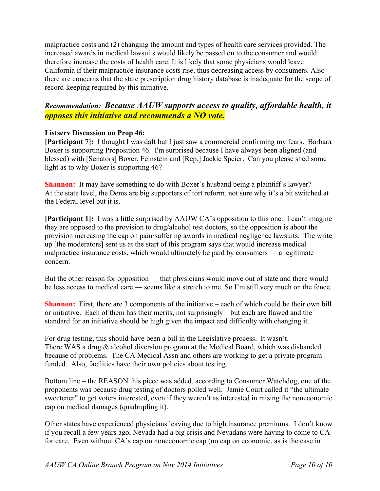malpractice costs and (2) changing the amount and types of health care services provided. The increased awards in medical lawsuits would likely be passed on to the consumer and would therefore increase the costs of health care. It is likely that some physicians would leave California if their malpractice insurance costs rise, thus decreasing access by consumers. Also there are concerns that the state prescription drug history database is inadequate for the scope of record-keeping required by this initiative.

## *Recommendation: Because AAUW supports access to quality, affordable health, it opposes this initiative and recommends a NO vote.*

### **Listserv Discussion on Prop 46:**

**[Participant 7]:** I thought I was daft but I just saw a commercial confirming my fears. Barbara Boxer is supporting Proposition 46. I'm surprised because I have always been aligned (and blessed) with [Senators] Boxer, Feinstein and [Rep.] Jackie Speier. Can you please shed some light as to why Boxer is supporting 46?

**Shannon:** It may have something to do with Boxer's husband being a plaintiff's lawyer? At the state level, the Dems are big supporters of tort reform, not sure why it's a bit switched at the Federal level but it is.

**[Participant 1]:** I was a little surprised by AAUW CA's opposition to this one. I can't imagine they are opposed to the provision to drug/alcohol test doctors, so the opposition is about the provision increasing the cap on pain/suffering awards in medical negligence lawsuits. The write up [the moderators] sent us at the start of this program says that would increase medical malpractice insurance costs, which would ultimately be paid by consumers — a legitimate concern.

But the other reason for opposition — that physicians would move out of state and there would be less access to medical care — seems like a stretch to me. So I'm still very much on the fence.

**Shannon:** First, there are 3 components of the initiative – each of which could be their own bill or initiative. Each of them has their merits, not surprisingly – but each are flawed and the standard for an initiative should be high given the impact and difficulty with changing it.

For drug testing, this should have been a bill in the Legislative process. It wasn't. There WAS a drug & alcohol diversion program at the Medical Board, which was disbanded because of problems. The CA Medical Assn and others are working to get a private program funded. Also, facilities have their own policies about testing.

Bottom line – the REASON this piece was added, according to Consumer Watchdog, one of the proponents was because drug testing of doctors polled well. Jamie Court called it "the ultimate sweetener" to get voters interested, even if they weren't as interested in raising the noneconomic cap on medical damages (quadrupling it).

Other states have experienced physicians leaving due to high insurance premiums. I don't know if you recall a few years ago, Nevada had a big crisis and Nevadans were having to come to CA for care. Even without CA's cap on noneconomic cap (no cap on economic, as is the case in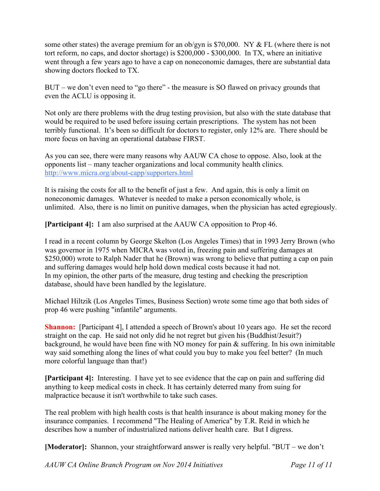some other states) the average premium for an ob/gyn is \$70,000. NY & FL (where there is not tort reform, no caps, and doctor shortage) is \$200,000 - \$300,000. In TX, where an initiative went through a few years ago to have a cap on noneconomic damages, there are substantial data showing doctors flocked to TX.

BUT – we don't even need to "go there" - the measure is SO flawed on privacy grounds that even the ACLU is opposing it.

Not only are there problems with the drug testing provision, but also with the state database that would be required to be used before issuing certain prescriptions. The system has not been terribly functional. It's been so difficult for doctors to register, only 12% are. There should be more focus on having an operational database FIRST.

As you can see, there were many reasons why AAUW CA chose to oppose. Also, look at the opponents list – many teacher organizations and local community health clinics. http://www.micra.org/about-capp/supporters.html

It is raising the costs for all to the benefit of just a few. And again, this is only a limit on noneconomic damages. Whatever is needed to make a person economically whole, is unlimited. Also, there is no limit on punitive damages, when the physician has acted egregiously.

**[Participant 4]:** I am also surprised at the AAUW CA opposition to Prop 46.

I read in a recent column by George Skelton (Los Angeles Times) that in 1993 Jerry Brown (who was governor in 1975 when MICRA was voted in, freezing pain and suffering damages at \$250,000) wrote to Ralph Nader that he (Brown) was wrong to believe that putting a cap on pain and suffering damages would help hold down medical costs because it had not. In my opinion, the other parts of the measure, drug testing and checking the prescription database, should have been handled by the legislature.

Michael Hiltzik (Los Angeles Times, Business Section) wrote some time ago that both sides of prop 46 were pushing "infantile" arguments.

**Shannon:** [Participant 4], I attended a speech of Brown's about 10 years ago. He set the record straight on the cap. He said not only did he not regret but given his (Buddhist/Jesuit?) background, he would have been fine with NO money for pain & suffering. In his own inimitable way said something along the lines of what could you buy to make you feel better? (In much more colorful language than that!)

**[Participant 4]:** Interesting. I have yet to see evidence that the cap on pain and suffering did anything to keep medical costs in check. It has certainly deterred many from suing for malpractice because it isn't worthwhile to take such cases.

The real problem with high health costs is that health insurance is about making money for the insurance companies. I recommend "The Healing of America" by T.R. Reid in which he describes how a number of industrialized nations deliver health care. But I digress.

**[Moderator]:** Shannon, your straightforward answer is really very helpful. "BUT – we don't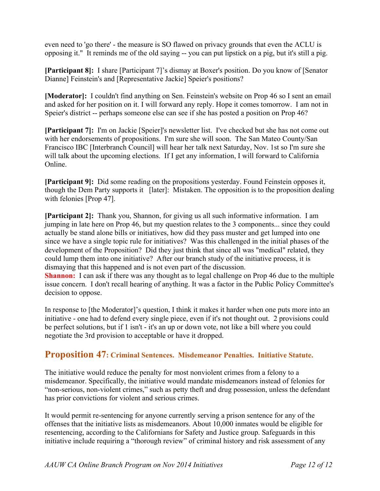even need to 'go there' - the measure is SO flawed on privacy grounds that even the ACLU is opposing it." It reminds me of the old saying -- you can put lipstick on a pig, but it's still a pig.

**[Participant 8]:** I share [Participant 7]'s dismay at Boxer's position. Do you know of [Senator Dianne] Feinstein's and [Representative Jackie] Speier's positions?

**[Moderator]:** I couldn't find anything on Sen. Feinstein's website on Prop 46 so I sent an email and asked for her position on it. I will forward any reply. Hope it comes tomorrow. I am not in Speier's district -- perhaps someone else can see if she has posted a position on Prop 46?

**[Participant 7]:** I'm on Jackie [Speier]'s newsletter list. I've checked but she has not come out with her endorsements of propositions. I'm sure she will soon. The San Mateo County/San Francisco IBC [Interbranch Council] will hear her talk next Saturday, Nov. 1st so I'm sure she will talk about the upcoming elections. If I get any information, I will forward to California Online.

**[Participant 9]:** Did some reading on the propositions yesterday. Found Feinstein opposes it, though the Dem Party supports it [later]: Mistaken. The opposition is to the proposition dealing with felonies [Prop 47].

**[Participant 2]:** Thank you, Shannon, for giving us all such informative information. I am jumping in late here on Prop 46, but my question relates to the 3 components... since they could actually be stand alone bills or initiatives, how did they pass muster and get lumped into one since we have a single topic rule for initiatives? Was this challenged in the initial phases of the development of the Proposition? Did they just think that since all was "medical" related, they could lump them into one initiative? After our branch study of the initiative process, it is dismaying that this happened and is not even part of the discussion.

**Shannon:** I can ask if there was any thought as to legal challenge on Prop 46 due to the multiple issue concern. I don't recall hearing of anything. It was a factor in the Public Policy Committee's decision to oppose.

In response to [the Moderator]'s question, I think it makes it harder when one puts more into an initiative - one had to defend every single piece, even if it's not thought out. 2 provisions could be perfect solutions, but if 1 isn't - it's an up or down vote, not like a bill where you could negotiate the 3rd provision to acceptable or have it dropped.

## **Proposition 47: Criminal Sentences. Misdemeanor Penalties. Initiative Statute.**

The initiative would reduce the penalty for most nonviolent crimes from a felony to a misdemeanor. Specifically, the initiative would mandate misdemeanors instead of felonies for "non-serious, non-violent crimes," such as petty theft and drug possession, unless the defendant has prior convictions for violent and serious crimes.

It would permit re-sentencing for anyone currently serving a prison sentence for any of the offenses that the initiative lists as misdemeanors. About 10,000 inmates would be eligible for resentencing, according to the Californians for Safety and Justice group. Safeguards in this initiative include requiring a "thorough review" of criminal history and risk assessment of any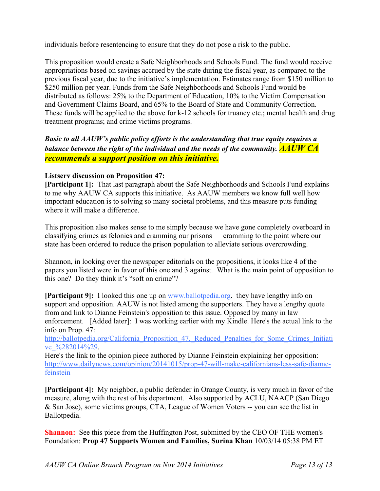individuals before resentencing to ensure that they do not pose a risk to the public.

This proposition would create a Safe Neighborhoods and Schools Fund. The fund would receive appropriations based on savings accrued by the state during the fiscal year, as compared to the previous fiscal year, due to the initiative's implementation. Estimates range from \$150 million to \$250 million per year. Funds from the Safe Neighborhoods and Schools Fund would be distributed as follows: 25% to the Department of Education, 10% to the Victim Compensation and Government Claims Board, and 65% to the Board of State and Community Correction. These funds will be applied to the above for k-12 schools for truancy etc.; mental health and drug treatment programs; and crime victims programs.

*Basic to all AAUW's public policy efforts is the understanding that true equity requires a balance between the right of the individual and the needs of the community. AAUW CA recommends a support position on this initiative.*

### **Listserv discussion on Proposition 47:**

**[Participant 1]:** That last paragraph about the Safe Neighborhoods and Schools Fund explains to me why AAUW CA supports this initiative. As AAUW members we know full well how important education is to solving so many societal problems, and this measure puts funding where it will make a difference.

This proposition also makes sense to me simply because we have gone completely overboard in classifying crimes as felonies and cramming our prisons — cramming to the point where our state has been ordered to reduce the prison population to alleviate serious overcrowding.

Shannon, in looking over the newspaper editorials on the propositions, it looks like 4 of the papers you listed were in favor of this one and 3 against. What is the main point of opposition to this one? Do they think it's "soft on crime"?

**[Participant 9]:** I looked this one up on www.ballotpedia.org. they have lengthy info on support and opposition. AAUW is not listed among the supporters. They have a lengthy quote from and link to Dianne Feinstein's opposition to this issue. Opposed by many in law enforcement. [Added later]: I was working earlier with my Kindle. Here's the actual link to the info on Prop. 47:

http://ballotpedia.org/California Proposition 47, Reduced Penalties for Some Crimes Initiati ve %282014%29.

Here's the link to the opinion piece authored by Dianne Feinstein explaining her opposition: http://www.dailynews.com/opinion/20141015/prop-47-will-make-californians-less-safe-diannefeinstein

**[Participant 4]:** My neighbor, a public defender in Orange County, is very much in favor of the measure, along with the rest of his department. Also supported by ACLU, NAACP (San Diego & San Jose), some victims groups, CTA, League of Women Voters -- you can see the list in Ballotpedia.

**Shannon:** See this piece from the Huffington Post, submitted by the CEO OF THE women's Foundation: **Prop 47 Supports Women and Families, Surina Khan** 10/03/14 05:38 PM ET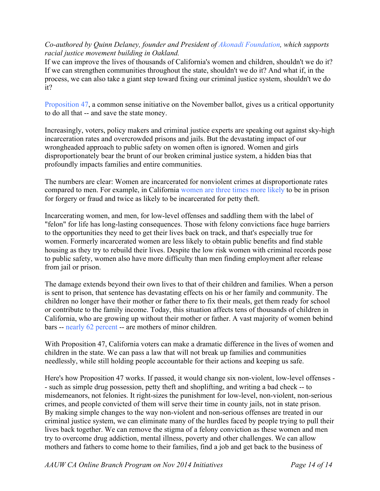## *Co-authored by Quinn Delaney, founder and President of Akonadi Foundation, which supports racial justice movement building in Oakland.*

If we can improve the lives of thousands of California's women and children, shouldn't we do it? If we can strengthen communities throughout the state, shouldn't we do it? And what if, in the process, we can also take a giant step toward fixing our criminal justice system, shouldn't we do it?

Proposition 47, a common sense initiative on the November ballot, gives us a critical opportunity to do all that -- and save the state money.

Increasingly, voters, policy makers and criminal justice experts are speaking out against sky-high incarceration rates and overcrowded prisons and jails. But the devastating impact of our wrongheaded approach to public safety on women often is ignored. Women and girls disproportionately bear the brunt of our broken criminal justice system, a hidden bias that profoundly impacts families and entire communities.

The numbers are clear: Women are incarcerated for nonviolent crimes at disproportionate rates compared to men. For example, in California women are three times more likely to be in prison for forgery or fraud and twice as likely to be incarcerated for petty theft.

Incarcerating women, and men, for low-level offenses and saddling them with the label of "felon" for life has long-lasting consequences. Those with felony convictions face huge barriers to the opportunities they need to get their lives back on track, and that's especially true for women. Formerly incarcerated women are less likely to obtain public benefits and find stable housing as they try to rebuild their lives. Despite the low risk women with criminal records pose to public safety, women also have more difficulty than men finding employment after release from jail or prison.

The damage extends beyond their own lives to that of their children and families. When a person is sent to prison, that sentence has devastating effects on his or her family and community. The children no longer have their mother or father there to fix their meals, get them ready for school or contribute to the family income. Today, this situation affects tens of thousands of children in California, who are growing up without their mother or father. A vast majority of women behind bars -- nearly 62 percent -- are mothers of minor children.

With Proposition 47, California voters can make a dramatic difference in the lives of women and children in the state. We can pass a law that will not break up families and communities needlessly, while still holding people accountable for their actions and keeping us safe.

Here's how Proposition 47 works. If passed, it would change six non-violent, low-level offenses - - such as simple drug possession, petty theft and shoplifting, and writing a bad check -- to misdemeanors, not felonies. It right-sizes the punishment for low-level, non-violent, non-serious crimes, and people convicted of them will serve their time in county jails, not in state prison. By making simple changes to the way non-violent and non-serious offenses are treated in our criminal justice system, we can eliminate many of the hurdles faced by people trying to pull their lives back together. We can remove the stigma of a felony conviction as these women and men try to overcome drug addiction, mental illness, poverty and other challenges. We can allow mothers and fathers to come home to their families, find a job and get back to the business of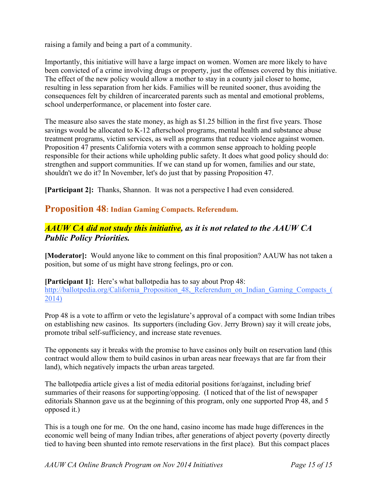raising a family and being a part of a community.

Importantly, this initiative will have a large impact on women. Women are more likely to have been convicted of a crime involving drugs or property, just the offenses covered by this initiative. The effect of the new policy would allow a mother to stay in a county jail closer to home, resulting in less separation from her kids. Families will be reunited sooner, thus avoiding the consequences felt by children of incarcerated parents such as mental and emotional problems, school underperformance, or placement into foster care.

The measure also saves the state money, as high as \$1.25 billion in the first five years. Those savings would be allocated to K-12 afterschool programs, mental health and substance abuse treatment programs, victim services, as well as programs that reduce violence against women. Proposition 47 presents California voters with a common sense approach to holding people responsible for their actions while upholding public safety. It does what good policy should do: strengthen and support communities. If we can stand up for women, families and our state, shouldn't we do it? In November, let's do just that by passing Proposition 47.

**[Participant 2]:** Thanks, Shannon. It was not a perspective I had even considered.

## **Proposition 48: Indian Gaming Compacts. Referendum.**

## *AAUW CA did not study this initiative, as it is not related to the AAUW CA Public Policy Priorities.*

**[Moderator]:** Would anyone like to comment on this final proposition? AAUW has not taken a position, but some of us might have strong feelings, pro or con.

**[Participant 1]:** Here's what ballotpedia has to say about Prop 48: http://ballotpedia.org/California Proposition 48, Referendum on Indian Gaming Compacts ( 2014)

Prop 48 is a vote to affirm or veto the legislature's approval of a compact with some Indian tribes on establishing new casinos. Its supporters (including Gov. Jerry Brown) say it will create jobs, promote tribal self-sufficiency, and increase state revenues.

The opponents say it breaks with the promise to have casinos only built on reservation land (this contract would allow them to build casinos in urban areas near freeways that are far from their land), which negatively impacts the urban areas targeted.

The ballotpedia article gives a list of media editorial positions for/against, including brief summaries of their reasons for supporting/opposing. (I noticed that of the list of newspaper editorials Shannon gave us at the beginning of this program, only one supported Prop 48, and 5 opposed it.)

This is a tough one for me. On the one hand, casino income has made huge differences in the economic well being of many Indian tribes, after generations of abject poverty (poverty directly tied to having been shunted into remote reservations in the first place). But this compact places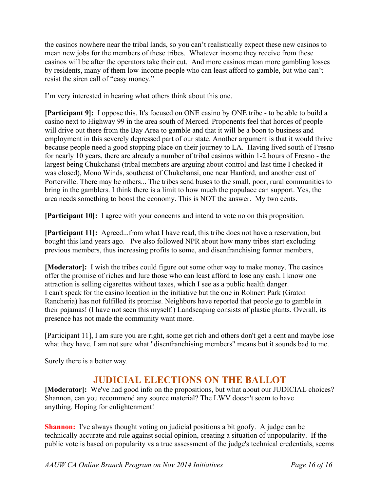the casinos nowhere near the tribal lands, so you can't realistically expect these new casinos to mean new jobs for the members of these tribes. Whatever income they receive from these casinos will be after the operators take their cut. And more casinos mean more gambling losses by residents, many of them low-income people who can least afford to gamble, but who can't resist the siren call of "easy money."

I'm very interested in hearing what others think about this one.

**[Participant 9]:** I oppose this. It's focused on ONE casino by ONE tribe - to be able to build a casino next to Highway 99 in the area south of Merced. Proponents feel that hordes of people will drive out there from the Bay Area to gamble and that it will be a boon to business and employment in this severely depressed part of our state. Another argument is that it would thrive because people need a good stopping place on their journey to LA. Having lived south of Fresno for nearly 10 years, there are already a number of tribal casinos within 1-2 hours of Fresno - the largest being Chukchansi (tribal members are arguing about control and last time I checked it was closed), Mono Winds, southeast of Chukchansi, one near Hanford, and another east of Porterville. There may be others... The tribes send buses to the small, poor, rural communities to bring in the gamblers. I think there is a limit to how much the populace can support. Yes, the area needs something to boost the economy. This is NOT the answer. My two cents.

**[Participant 10]:** I agree with your concerns and intend to vote no on this proposition.

**[Participant 11]:** Agreed...from what I have read, this tribe does not have a reservation, but bought this land years ago. I've also followed NPR about how many tribes start excluding previous members, thus increasing profits to some, and disenfranchising former members,

**[Moderator]:** I wish the tribes could figure out some other way to make money. The casinos offer the promise of riches and lure those who can least afford to lose any cash. I know one attraction is selling cigarettes without taxes, which I see as a public health danger. I can't speak for the casino location in the initiative but the one in Rohnert Park (Graton Rancheria) has not fulfilled its promise. Neighbors have reported that people go to gamble in their pajamas! (I have not seen this myself.) Landscaping consists of plastic plants. Overall, its presence has not made the community want more.

[Participant 11], I am sure you are right, some get rich and others don't get a cent and maybe lose what they have. I am not sure what "disenfranchising members" means but it sounds bad to me.

Surely there is a better way.

# **JUDICIAL ELECTIONS ON THE BALLOT**

**[Moderator]:** We've had good info on the propositions, but what about our JUDICIAL choices? Shannon, can you recommend any source material? The LWV doesn't seem to have anything. Hoping for enlightenment!

**Shannon:** I've always thought voting on judicial positions a bit goofy. A judge can be technically accurate and rule against social opinion, creating a situation of unpopularity. If the public vote is based on popularity vs a true assessment of the judge's technical credentials, seems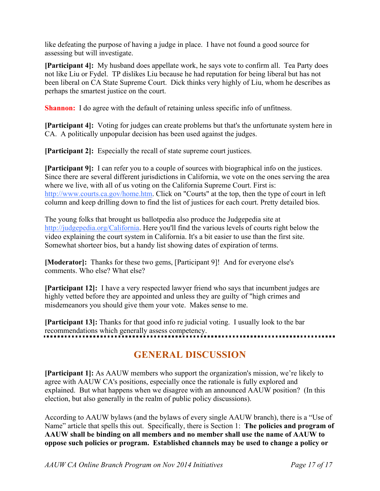like defeating the purpose of having a judge in place. I have not found a good source for assessing but will investigate.

**[Participant 4]:** My husband does appellate work, he says vote to confirm all. Tea Party does not like Liu or Fydel. TP dislikes Liu because he had reputation for being liberal but has not been liberal on CA State Supreme Court. Dick thinks very highly of Liu, whom he describes as perhaps the smartest justice on the court.

**Shannon:** I do agree with the default of retaining unless specific info of unfitness.

**[Participant 4]:** Voting for judges can create problems but that's the unfortunate system here in CA. A politically unpopular decision has been used against the judges.

**[Participant 2]:** Especially the recall of state supreme court justices.

**[Participant 9]:** I can refer you to a couple of sources with biographical info on the justices. Since there are several different jurisdictions in California, we vote on the ones serving the area where we live, with all of us voting on the California Supreme Court. First is: http://www.courts.ca.gov/home.htm. Click on "Courts" at the top, then the type of court in left column and keep drilling down to find the list of justices for each court. Pretty detailed bios.

The young folks that brought us ballotpedia also produce the Judgepedia site at http://judgepedia.org/California. Here you'll find the various levels of courts right below the video explaining the court system in California. It's a bit easier to use than the first site. Somewhat shorteer bios, but a handy list showing dates of expiration of terms.

**[Moderator]:** Thanks for these two gems, [Participant 9]! And for everyone else's comments. Who else? What else?

**[Participant 12]:** I have a very respected lawyer friend who says that incumbent judges are highly vetted before they are appointed and unless they are guilty of "high crimes and misdemeanors you should give them your vote. Makes sense to me.

**[Participant 13]:** Thanks for that good info re judicial voting. I usually look to the bar recommendations which generally assess competency.

# **GENERAL DISCUSSION**

**[Participant 1]:** As AAUW members who support the organization's mission, we're likely to agree with AAUW CA's positions, especially once the rationale is fully explored and explained. But what happens when we disagree with an announced AAUW position? (In this election, but also generally in the realm of public policy discussions).

According to AAUW bylaws (and the bylaws of every single AAUW branch), there is a "Use of Name" article that spells this out. Specifically, there is Section 1: **The policies and program of AAUW shall be binding on all members and no member shall use the name of AAUW to oppose such policies or program. Established channels may be used to change a policy or**